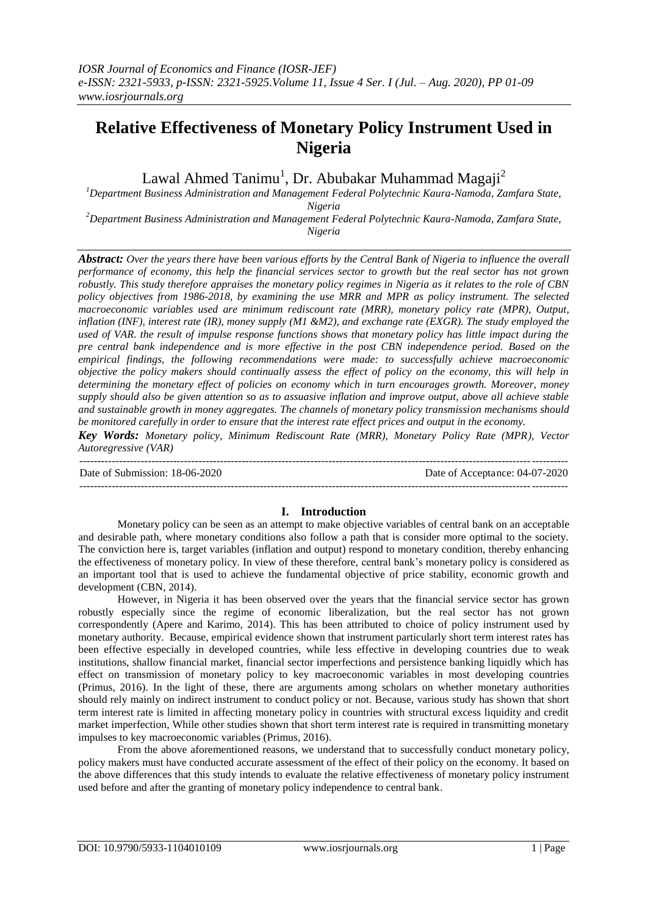# **Relative Effectiveness of Monetary Policy Instrument Used in Nigeria**

Lawal Ahmed Tanimu<sup>1</sup>, Dr. Abubakar Muhammad Magaji<sup>2</sup>

*<sup>1</sup>Department Business Administration and Management Federal Polytechnic Kaura-Namoda, Zamfara State, Nigeria*

*<sup>2</sup>Department Business Administration and Management Federal Polytechnic Kaura-Namoda, Zamfara State, Nigeria*

*Abstract: Over the years there have been various efforts by the Central Bank of Nigeria to influence the overall performance of economy, this help the financial services sector to growth but the real sector has not grown robustly. This study therefore appraises the monetary policy regimes in Nigeria as it relates to the role of CBN policy objectives from 1986-2018, by examining the use MRR and MPR as policy instrument. The selected macroeconomic variables used are minimum rediscount rate (MRR), monetary policy rate (MPR), Output, inflation (INF), interest rate (IR), money supply (M1 &M2), and exchange rate (EXGR). The study employed the used of VAR. the result of impulse response functions shows that monetary policy has little impact during the pre central bank independence and is more effective in the post CBN independence period. Based on the empirical findings, the following recommendations were made: to successfully achieve macroeconomic objective the policy makers should continually assess the effect of policy on the economy, this will help in determining the monetary effect of policies on economy which in turn encourages growth. Moreover, money supply should also be given attention so as to assuasive inflation and improve output, above all achieve stable and sustainable growth in money aggregates. The channels of monetary policy transmission mechanisms should be monitored carefully in order to ensure that the interest rate effect prices and output in the economy.*

*Key Words: Monetary policy, Minimum Rediscount Rate (MRR), Monetary Policy Rate (MPR), Vector Autoregressive (VAR)*

--------------------------------------------------------------------------------------------------------------------------------------- Date of Submission: 18-06-2020 Date of Acceptance: 04-07-2020 ---------------------------------------------------------------------------------------------------------------------------------------

## **I. Introduction**

Monetary policy can be seen as an attempt to make objective variables of central bank on an acceptable and desirable path, where monetary conditions also follow a path that is consider more optimal to the society. The conviction here is, target variables (inflation and output) respond to monetary condition, thereby enhancing the effectiveness of monetary policy. In view of these therefore, central bank's monetary policy is considered as an important tool that is used to achieve the fundamental objective of price stability, economic growth and development (CBN, 2014).

However, in Nigeria it has been observed over the years that the financial service sector has grown robustly especially since the regime of economic liberalization, but the real sector has not grown correspondently (Apere and Karimo, 2014). This has been attributed to choice of policy instrument used by monetary authority. Because, empirical evidence shown that instrument particularly short term interest rates has been effective especially in developed countries, while less effective in developing countries due to weak institutions, shallow financial market, financial sector imperfections and persistence banking liquidly which has effect on transmission of monetary policy to key macroeconomic variables in most developing countries (Primus, 2016). In the light of these, there are arguments among scholars on whether monetary authorities should rely mainly on indirect instrument to conduct policy or not. Because, various study has shown that short term interest rate is limited in affecting monetary policy in countries with structural excess liquidity and credit market imperfection, While other studies shown that short term interest rate is required in transmitting monetary impulses to key macroeconomic variables (Primus, 2016).

From the above aforementioned reasons, we understand that to successfully conduct monetary policy, policy makers must have conducted accurate assessment of the effect of their policy on the economy. It based on the above differences that this study intends to evaluate the relative effectiveness of monetary policy instrument used before and after the granting of monetary policy independence to central bank.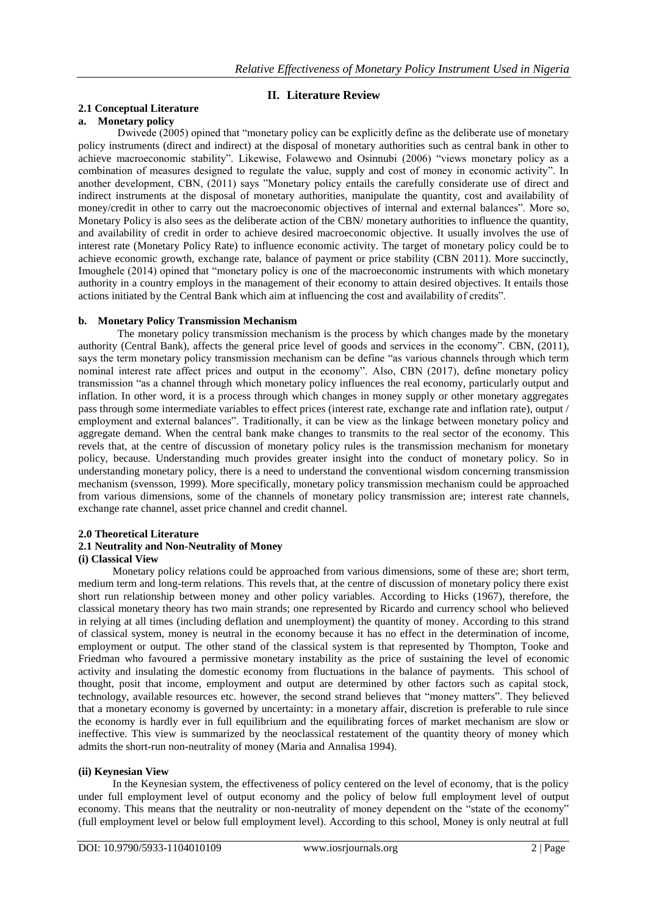# **II. Literature Review**

# **2.1 Conceptual Literature**

# **a. Monetary policy**

Dwivede (2005) opined that "monetary policy can be explicitly define as the deliberate use of monetary policy instruments (direct and indirect) at the disposal of monetary authorities such as central bank in other to achieve macroeconomic stability". Likewise, Folawewo and Osinnubi (2006) "views monetary policy as a combination of measures designed to regulate the value, supply and cost of money in economic activity". In another development, CBN, (2011) says "Monetary policy entails the carefully considerate use of direct and indirect instruments at the disposal of monetary authorities, manipulate the quantity, cost and availability of money/credit in other to carry out the macroeconomic objectives of internal and external balances". More so, Monetary Policy is also sees as the deliberate action of the CBN/ monetary authorities to influence the quantity, and availability of credit in order to achieve desired macroeconomic objective. It usually involves the use of interest rate (Monetary Policy Rate) to influence economic activity. The target of monetary policy could be to achieve economic growth, exchange rate, balance of payment or price stability (CBN 2011). More succinctly, Imoughele (2014) opined that "monetary policy is one of the macroeconomic instruments with which monetary authority in a country employs in the management of their economy to attain desired objectives. It entails those actions initiated by the Central Bank which aim at influencing the cost and availability of credits".

# **b. Monetary Policy Transmission Mechanism**

The monetary policy transmission mechanism is the process by which changes made by the monetary authority (Central Bank), affects the general price level of goods and services in the economy". CBN, (2011), says the term monetary policy transmission mechanism can be define "as various channels through which term nominal interest rate affect prices and output in the economy". Also, CBN (2017), define monetary policy transmission "as a channel through which monetary policy influences the real economy, particularly output and inflation. In other word, it is a process through which changes in money supply or other monetary aggregates pass through some intermediate variables to effect prices (interest rate, exchange rate and inflation rate), output / employment and external balances". Traditionally, it can be view as the linkage between monetary policy and aggregate demand. When the central bank make changes to transmits to the real sector of the economy. This revels that, at the centre of discussion of monetary policy rules is the transmission mechanism for monetary policy, because. Understanding much provides greater insight into the conduct of monetary policy. So in understanding monetary policy, there is a need to understand the conventional wisdom concerning transmission mechanism (svensson, 1999). More specifically, monetary policy transmission mechanism could be approached from various dimensions, some of the channels of monetary policy transmission are; interest rate channels, exchange rate channel, asset price channel and credit channel.

# **2.0 Theoretical Literature**

# **2.1 Neutrality and Non-Neutrality of Money**

#### **(i) Classical View**

Monetary policy relations could be approached from various dimensions, some of these are; short term, medium term and long-term relations. This revels that, at the centre of discussion of monetary policy there exist short run relationship between money and other policy variables. According to Hicks (1967), therefore, the classical monetary theory has two main strands; one represented by Ricardo and currency school who believed in relying at all times (including deflation and unemployment) the quantity of money. According to this strand of classical system, money is neutral in the economy because it has no effect in the determination of income, employment or output. The other stand of the classical system is that represented by Thompton, Tooke and Friedman who favoured a permissive monetary instability as the price of sustaining the level of economic activity and insulating the domestic economy from fluctuations in the balance of payments. This school of thought, posit that income, employment and output are determined by other factors such as capital stock, technology, available resources etc. however, the second strand believes that "money matters". They believed that a monetary economy is governed by uncertainty: in a monetary affair, discretion is preferable to rule since the economy is hardly ever in full equilibrium and the equilibrating forces of market mechanism are slow or ineffective. This view is summarized by the neoclassical restatement of the quantity theory of money which admits the short-run non-neutrality of money (Maria and Annalisa 1994).

#### **(ii) Keynesian View**

In the Keynesian system, the effectiveness of policy centered on the level of economy, that is the policy under full employment level of output economy and the policy of below full employment level of output economy. This means that the neutrality or non-neutrality of money dependent on the "state of the economy" (full employment level or below full employment level). According to this school, Money is only neutral at full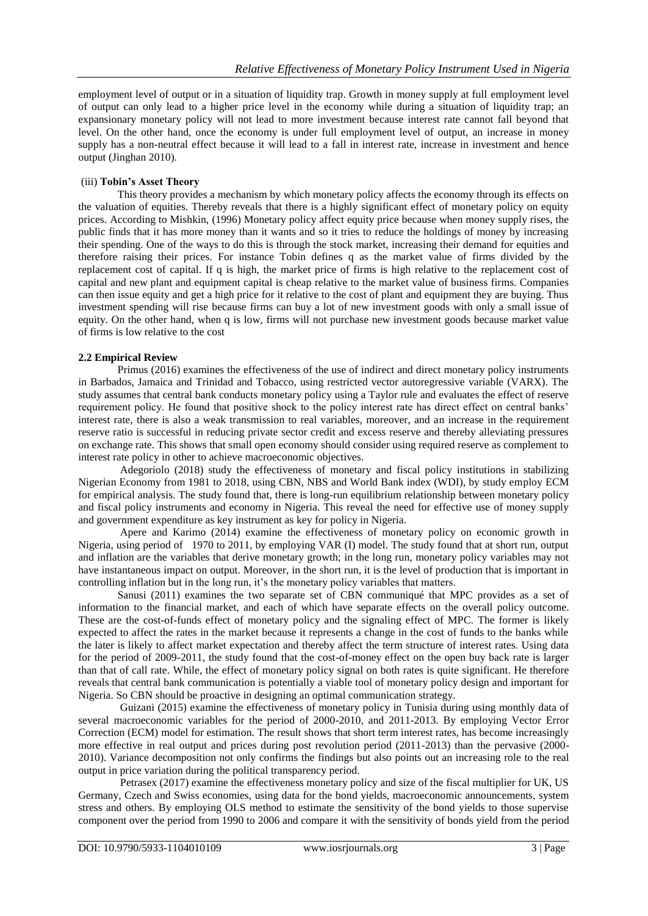employment level of output or in a situation of liquidity trap. Growth in money supply at full employment level of output can only lead to a higher price level in the economy while during a situation of liquidity trap; an expansionary monetary policy will not lead to more investment because interest rate cannot fall beyond that level. On the other hand, once the economy is under full employment level of output, an increase in money supply has a non-neutral effect because it will lead to a fall in interest rate, increase in investment and hence output (Jinghan 2010).

### (iii) **Tobin's Asset Theory**

This theory provides a mechanism by which monetary policy affects the economy through its effects on the valuation of equities. Thereby reveals that there is a highly significant effect of monetary policy on equity prices. According to Mishkin, (1996) Monetary policy affect equity price because when money supply rises, the public finds that it has more money than it wants and so it tries to reduce the holdings of money by increasing their spending. One of the ways to do this is through the stock market, increasing their demand for equities and therefore raising their prices. For instance Tobin defines q as the market value of firms divided by the replacement cost of capital. If q is high, the market price of firms is high relative to the replacement cost of capital and new plant and equipment capital is cheap relative to the market value of business firms. Companies can then issue equity and get a high price for it relative to the cost of plant and equipment they are buying. Thus investment spending will rise because firms can buy a lot of new investment goods with only a small issue of equity. On the other hand, when q is low, firms will not purchase new investment goods because market value of firms is low relative to the cost

#### **2.2 Empirical Review**

Primus (2016) examines the effectiveness of the use of indirect and direct monetary policy instruments in Barbados, Jamaica and Trinidad and Tobacco, using restricted vector autoregressive variable (VARX). The study assumes that central bank conducts monetary policy using a Taylor rule and evaluates the effect of reserve requirement policy. He found that positive shock to the policy interest rate has direct effect on central banks' interest rate, there is also a weak transmission to real variables, moreover, and an increase in the requirement reserve ratio is successful in reducing private sector credit and excess reserve and thereby alleviating pressures on exchange rate. This shows that small open economy should consider using required reserve as complement to interest rate policy in other to achieve macroeconomic objectives.

Adegoriolo (2018) study the effectiveness of monetary and fiscal policy institutions in stabilizing Nigerian Economy from 1981 to 2018, using CBN, NBS and World Bank index (WDI), by study employ ECM for empirical analysis. The study found that, there is long-run equilibrium relationship between monetary policy and fiscal policy instruments and economy in Nigeria. This reveal the need for effective use of money supply and government expenditure as key instrument as key for policy in Nigeria.

Apere and Karimo (2014) examine the effectiveness of monetary policy on economic growth in Nigeria, using period of 1970 to 2011, by employing VAR (I) model. The study found that at short run, output and inflation are the variables that derive monetary growth; in the long run, monetary policy variables may not have instantaneous impact on output. Moreover, in the short run, it is the level of production that is important in controlling inflation but in the long run, it's the monetary policy variables that matters.

Sanusi (2011) examines the two separate set of CBN communiqué that MPC provides as a set of information to the financial market, and each of which have separate effects on the overall policy outcome. These are the cost-of-funds effect of monetary policy and the signaling effect of MPC. The former is likely expected to affect the rates in the market because it represents a change in the cost of funds to the banks while the later is likely to affect market expectation and thereby affect the term structure of interest rates. Using data for the period of 2009-2011, the study found that the cost-of-money effect on the open buy back rate is larger than that of call rate. While, the effect of monetary policy signal on both rates is quite significant. He therefore reveals that central bank communication is potentially a viable tool of monetary policy design and important for Nigeria. So CBN should be proactive in designing an optimal communication strategy.

Guizani (2015) examine the effectiveness of monetary policy in Tunisia during using monthly data of several macroeconomic variables for the period of 2000-2010, and 2011-2013. By employing Vector Error Correction (ECM) model for estimation. The result shows that short term interest rates, has become increasingly more effective in real output and prices during post revolution period (2011-2013) than the pervasive (2000- 2010). Variance decomposition not only confirms the findings but also points out an increasing role to the real output in price variation during the political transparency period.

Petrasex (2017) examine the effectiveness monetary policy and size of the fiscal multiplier for UK, US Germany, Czech and Swiss economies, using data for the bond yields, macroeconomic announcements, system stress and others. By employing OLS method to estimate the sensitivity of the bond yields to those supervise component over the period from 1990 to 2006 and compare it with the sensitivity of bonds yield from the period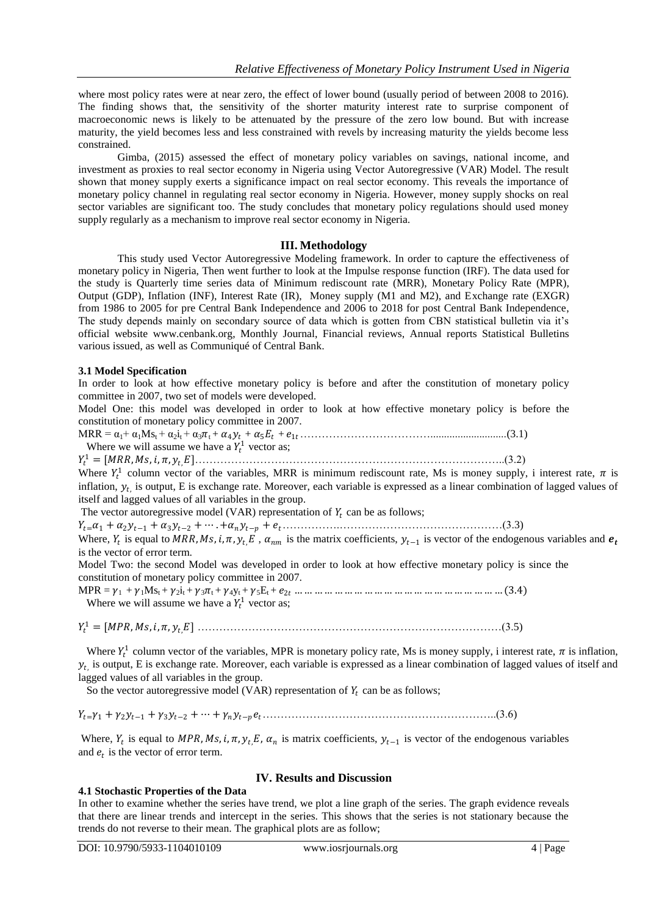where most policy rates were at near zero, the effect of lower bound (usually period of between 2008 to 2016). The finding shows that, the sensitivity of the shorter maturity interest rate to surprise component of macroeconomic news is likely to be attenuated by the pressure of the zero low bound. But with increase maturity, the yield becomes less and less constrained with revels by increasing maturity the yields become less constrained.

Gimba, (2015) assessed the effect of monetary policy variables on savings, national income, and investment as proxies to real sector economy in Nigeria using Vector Autoregressive (VAR) Model. The result shown that money supply exerts a significance impact on real sector economy. This reveals the importance of monetary policy channel in regulating real sector economy in Nigeria. However, money supply shocks on real sector variables are significant too. The study concludes that monetary policy regulations should used money supply regularly as a mechanism to improve real sector economy in Nigeria.

#### **III. Methodology**

This study used Vector Autoregressive Modeling framework. In order to capture the effectiveness of monetary policy in Nigeria, Then went further to look at the Impulse response function (IRF). The data used for the study is Quarterly time series data of Minimum rediscount rate (MRR), Monetary Policy Rate (MPR), Output (GDP), Inflation (INF), Interest Rate (IR), Money supply (M1 and M2), and Exchange rate (EXGR) from 1986 to 2005 for pre Central Bank Independence and 2006 to 2018 for post Central Bank Independence, The study depends mainly on secondary source of data which is gotten from CBN statistical bulletin via it's official website [www.cenbank.org,](http://www.cenbank.org/) Monthly Journal, Financial reviews, Annual reports Statistical Bulletins various issued, as well as Communiqué of Central Bank.

#### **3.1 Model Specification**

In order to look at how effective monetary policy is before and after the constitution of monetary policy committee in 2007, two set of models were developed.

Model One: this model was developed in order to look at how effective monetary policy is before the constitution of monetary policy committee in 2007.

MRR = α1+ α1Mst + α2it + α3t + 4 + 5 + 1………………………………............................(3.1)

Where we will assume we have a  $Y_t^1$  vector as;

<sup>1</sup> = [, , , , ,]…………………………………………………………………………..(3.2)

Where  $Y_t^1$  column vector of the variables, MRR is minimum rediscount rate, Ms is money supply, i interest rate,  $\pi$  is inflation,  $y_{t}$ , is output, E is exchange rate. Moreover, each variable is expressed as a linear combination of lagged values of itself and lagged values of all variables in the group.

The vector autoregressive model (VAR) representation of  $Y_t$  can be as follows;

=<sup>1</sup> +2−<sup>1</sup> + 3−<sup>2</sup> + ⋯ .+ − + …………….………………………………………(3.3)

Where,  $Y_t$  is equal to MRR, Ms, i,  $\pi$ ,  $y_t$ , E,  $\alpha_{nm}$  is the matrix coefficients,  $y_{t-1}$  is vector of the endogenous variables and  $e_t$ is the vector of error term.

Model Two: the second Model was developed in order to look at how effective monetary policy is since the constitution of monetary policy committee in 2007.

MPR = 1 + 1Mst + 2it + 3t + 4yt + 5Et + 2 … … … … … … … … … … … … … … … … … … … … … (3.4) Where we will assume we have a  $Y_t^1$  vector as;

<sup>1</sup> = [, , , , ,] …………………………………………………………………………(3.5)

Where  $Y_t^1$  column vector of the variables, MPR is monetary policy rate, Ms is money supply, i interest rate,  $\pi$  is inflation,  $y_{t}$  is output, E is exchange rate. Moreover, each variable is expressed as a linear combination of lagged values of itself and lagged values of all variables in the group.

So the vector autoregressive model (VAR) representation of  $Y_t$  can be as follows;

 $Y_{t} = \gamma_1 + \gamma_2 y_{t-1} + \gamma_3 y_{t-2} + \cdots + \gamma_n y_{t-p} e_t$ 

Where,  $Y_t$  is equal to MPR, Ms, i,  $\pi$ ,  $y_t$ ,  $E$ ,  $\alpha_n$  is matrix coefficients,  $y_{t-1}$  is vector of the endogenous variables and  $e_t$  is the vector of error term.

## **IV. Results and Discussion**

**4.1 Stochastic Properties of the Data** In other to examine whether the series have trend, we plot a line graph of the series. The graph evidence reveals that there are linear trends and intercept in the series. This shows that the series is not stationary because the

trends do not reverse to their mean. The graphical plots are as follow;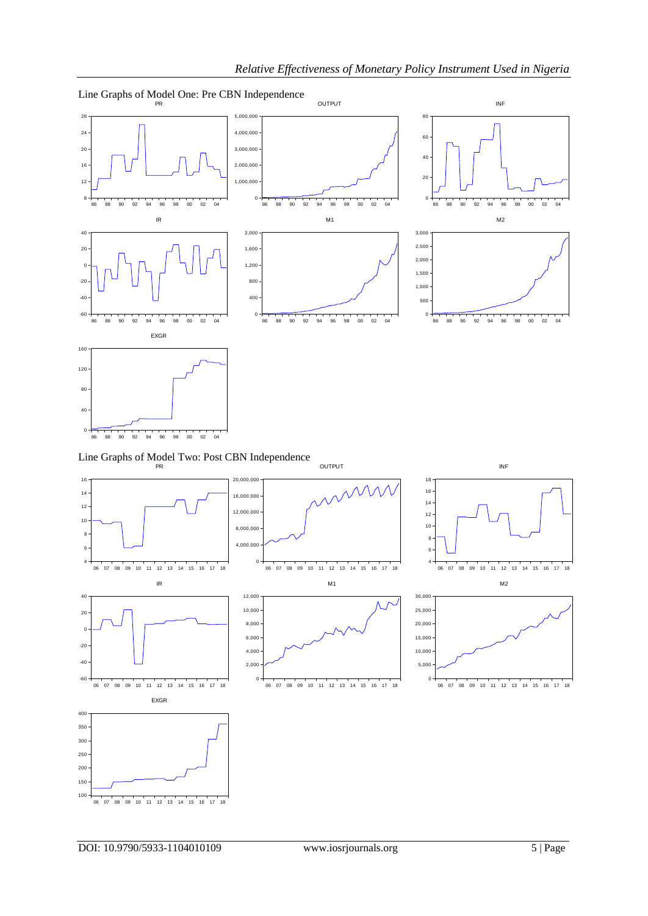

DOI: 10.9790/5933-1104010109 www.iosrjournals.org 5 | Page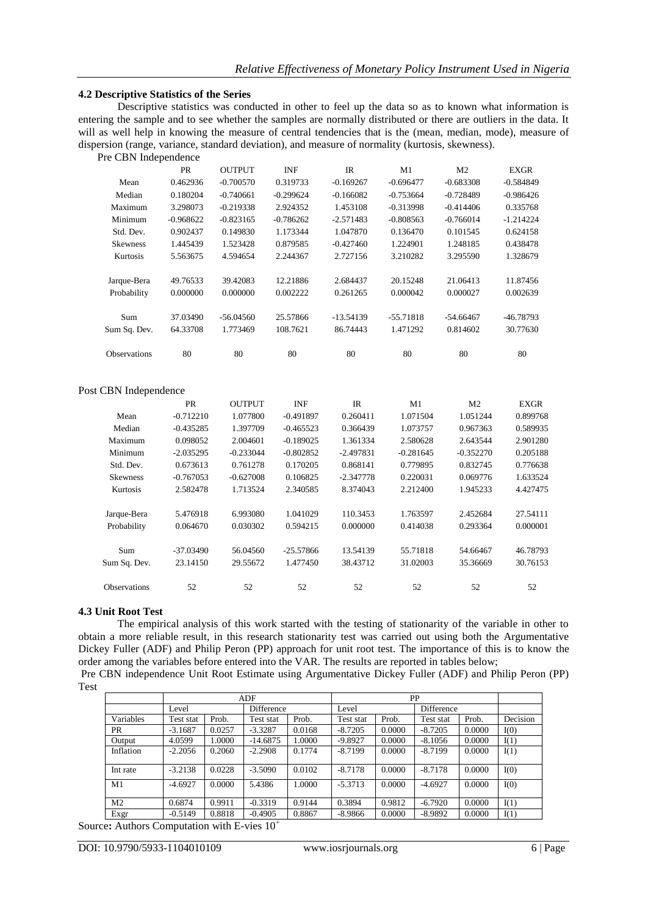#### **4.2 Descriptive Statistics of the Series**

Descriptive statistics was conducted in other to feel up the data so as to known what information is entering the sample and to see whether the samples are normally distributed or there are outliers in the data. It will as well help in knowing the measure of central tendencies that is the (mean, median, mode), measure of dispersion (range, variance, standard deviation), and measure of normality (kurtosis, skewness). Pre CBN Independence

| TO CDTV INTODUNTION |             |               |             |                |             |                |             |
|---------------------|-------------|---------------|-------------|----------------|-------------|----------------|-------------|
|                     | <b>PR</b>   | <b>OUTPUT</b> | <b>INF</b>  | $_{\text{IR}}$ | M1          | M <sub>2</sub> | <b>EXGR</b> |
| Mean                | 0.462936    | $-0.700570$   | 0.319733    | $-0.169267$    | $-0.696477$ | $-0.683308$    | $-0.584849$ |
| Median              | 0.180204    | $-0.740661$   | $-0.299624$ | $-0.166082$    | $-0.753664$ | $-0.728489$    | $-0.986426$ |
| Maximum             | 3.298073    | $-0.219338$   | 2.924352    | 1.453108       | $-0.313998$ | $-0.414406$    | 0.335768    |
| Minimum             | $-0.968622$ | $-0.823165$   | $-0.786262$ | $-2.571483$    | $-0.808563$ | $-0.766014$    | $-1.214224$ |
| Std. Dev.           | 0.902437    | 0.149830      | 1.173344    | 1.047870       | 0.136470    | 0.101545       | 0.624158    |
| <b>Skewness</b>     | 1.445439    | 1.523428      | 0.879585    | $-0.427460$    | 1.224901    | 1.248185       | 0.438478    |
| Kurtosis            | 5.563675    | 4.594654      | 2.244367    | 2.727156       | 3.210282    | 3.295590       | 1.328679    |
| Jarque-Bera         | 49.76533    | 39.42083      | 12.21886    | 2.684437       | 20.15248    | 21.06413       | 11.87456    |
| Probability         | 0.000000    | 0.000000      | 0.002222    | 0.261265       | 0.000042    | 0.000027       | 0.002639    |
| Sum                 | 37.03490    | $-56.04560$   | 25.57866    | -13.54139      | $-55.71818$ | $-54.66467$    | -46.78793   |
| Sum Sq. Dev.        | 64.33708    | 1.773469      | 108.7621    | 86.74443       | 1.471292    | 0.814602       | 30.77630    |
| <b>Observations</b> | 80          | 80            | 80          | 80             | 80          | 80             | 80          |
|                     |             |               |             |                |             |                |             |

#### Post CBN Independence

|                     | <b>PR</b>   | <b>OUTPUT</b> | <b>INF</b>  | <b>IR</b>   | M <sub>1</sub> | M <sub>2</sub> | <b>EXGR</b> |
|---------------------|-------------|---------------|-------------|-------------|----------------|----------------|-------------|
| Mean                | $-0.712210$ | 1.077800      | $-0.491897$ | 0.260411    | 1.071504       | 1.051244       | 0.899768    |
| Median              | $-0.435285$ | 1.397709      | $-0.465523$ | 0.366439    | 1.073757       | 0.967363       | 0.589935    |
| Maximum             | 0.098052    | 2.004601      | $-0.189025$ | 1.361334    | 2.580628       | 2.643544       | 2.901280    |
| Minimum             | $-2.035295$ | $-0.233044$   | $-0.802852$ | $-2.497831$ | $-0.281645$    | $-0.352270$    | 0.205188    |
| Std. Dev.           | 0.673613    | 0.761278      | 0.170205    | 0.868141    | 0.779895       | 0.832745       | 0.776638    |
| <b>Skewness</b>     | $-0.767053$ | $-0.627008$   | 0.106825    | $-2.347778$ | 0.220031       | 0.069776       | 1.633524    |
| Kurtosis            | 2.582478    | 1.713524      | 2.340585    | 8.374043    | 2.212400       | 1.945233       | 4.427475    |
| Jarque-Bera         | 5.476918    | 6.993080      | 1.041029    | 110.3453    | 1.763597       | 2.452684       | 27.54111    |
| Probability         | 0.064670    | 0.030302      | 0.594215    | 0.000000    | 0.414038       | 0.293364       | 0.000001    |
| Sum                 | $-37.03490$ | 56.04560      | $-25.57866$ | 13.54139    | 55.71818       | 54.66467       | 46.78793    |
| Sum Sq. Dev.        | 23.14150    | 29.55672      | 1.477450    | 38.43712    | 31.02003       | 35.36669       | 30.76153    |
| <b>Observations</b> | 52          | 52            | 52          | 52          | 52             | 52             | 52          |

#### **4.3 Unit Root Test**

The empirical analysis of this work started with the testing of stationarity of the variable in other to obtain a more reliable result, in this research stationarity test was carried out using both the Argumentative Dickey Fuller (ADF) and Philip Peron (PP) approach for unit root test. The importance of this is to know the order among the variables before entered into the VAR. The results are reported in tables below;

Pre CBN independence Unit Root Estimate using Argumentative Dickey Fuller (ADF) and Philip Peron (PP) Test

|                | ADF       |        |            |        | <b>PP</b> |        |            |        |          |
|----------------|-----------|--------|------------|--------|-----------|--------|------------|--------|----------|
|                | Level     |        | Difference |        | Level     |        | Difference |        |          |
| Variables      | Test stat | Prob.  | Test stat  | Prob.  | Test stat | Prob.  | Test stat  | Prob.  | Decision |
| <b>PR</b>      | $-3.1687$ | 0.0257 | $-3.3287$  | 0.0168 | $-8.7205$ | 0.0000 | $-8.7205$  | 0.0000 | I(0)     |
| Output         | 4.0599    | 1.0000 | $-14.6875$ | 1.0000 | $-9.8927$ | 0.0000 | $-8.1056$  | 0.0000 | I(1)     |
| Inflation      | $-2.2056$ | 0.2060 | $-2.2908$  | 0.1774 | $-8.7199$ | 0.0000 | $-8.7199$  | 0.0000 | I(1)     |
| Int rate       | $-3.2138$ | 0.0228 | $-3.5090$  | 0.0102 | $-8.7178$ | 0.0000 | $-8.7178$  | 0.0000 | I(0)     |
| M1             | $-4.6927$ | 0.0000 | 5.4386     | 1.0000 | $-5.3713$ | 0.0000 | $-4.6927$  | 0.0000 | I(0)     |
| M <sub>2</sub> | 0.6874    | 0.9911 | $-0.3319$  | 0.9144 | 0.3894    | 0.9812 | $-6.7920$  | 0.0000 | I(1)     |
| Exgr           | $-0.5149$ | 0.8818 | $-0.4905$  | 0.8867 | $-8.9866$ | 0.0000 | $-8.9892$  | 0.0000 | I(1)     |

Source**:** Authors Computation with E-vies 10<sup>+</sup>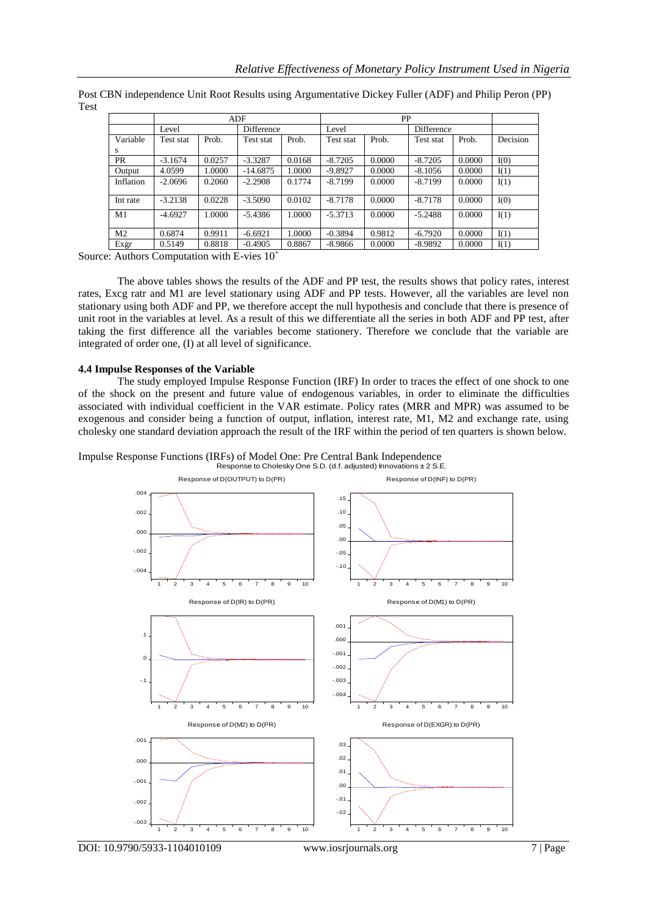|                | ADF       |        |            |        | PP        |        |            |        |          |
|----------------|-----------|--------|------------|--------|-----------|--------|------------|--------|----------|
|                | Level     |        | Difference |        | Level     |        | Difference |        |          |
| Variable       | Test stat | Prob.  | Test stat  | Prob.  | Test stat | Prob.  | Test stat  | Prob.  | Decision |
| S              |           |        |            |        |           |        |            |        |          |
| <b>PR</b>      | $-3.1674$ | 0.0257 | $-3.3287$  | 0.0168 | $-8.7205$ | 0.0000 | $-8.7205$  | 0.0000 | I(0)     |
| Output         | 4.0599    | 1.0000 | $-14.6875$ | 1.0000 | $-9.8927$ | 0.0000 | $-8.1056$  | 0.0000 | I(1)     |
| Inflation      | $-2.0696$ | 0.2060 | $-2.2908$  | 0.1774 | $-8.7199$ | 0.0000 | $-8.7199$  | 0.0000 | I(1)     |
| Int rate       | $-3.2138$ | 0.0228 | $-3.5090$  | 0.0102 | $-8.7178$ | 0.0000 | $-8.7178$  | 0.0000 | I(0)     |
| M <sub>1</sub> | $-4.6927$ | 1.0000 | $-5.4386$  | 1.0000 | $-5.3713$ | 0.0000 | $-5.2488$  | 0.0000 | I(1)     |
| M <sub>2</sub> | 0.6874    | 0.9911 | $-6.6921$  | 1.0000 | $-0.3894$ | 0.9812 | $-6.7920$  | 0.0000 | I(1)     |
| Exgr           | 0.5149    | 0.8818 | $-0.4905$  | 0.8867 | $-8.9866$ | 0.0000 | $-8.9892$  | 0.0000 | I(1)     |

Post CBN independence Unit Root Results using Argumentative Dickey Fuller (ADF) and Philip Peron (PP) Test

Source: Authors Computation with E-vies  $10^+$ 

The above tables shows the results of the ADF and PP test, the results shows that policy rates, interest rates, Excg ratr and M1 are level stationary using ADF and PP tests. However, all the variables are level non stationary using both ADF and PP, we therefore accept the null hypothesis and conclude that there is presence of unit root in the variables at level. As a result of this we differentiate all the series in both ADF and PP test, after taking the first difference all the variables become stationery. Therefore we conclude that the variable are integrated of order one, (I) at all level of significance.

#### **4.4 Impulse Responses of the Variable**

The study employed Impulse Response Function (IRF) In order to traces the effect of one shock to one of the shock on the present and future value of endogenous variables, in order to eliminate the difficulties associated with individual coefficient in the VAR estimate. Policy rates (MRR and MPR) was assumed to be exogenous and consider being a function of output, inflation, interest rate, M1, M2 and exchange rate, using cholesky one standard deviation approach the result of the IRF within the period of ten quarters is shown below.

Impulse Response Functions (IRFs) of Model One: Pre Central Bank Independence Response to Cholesky One S.D. (d.f. adjusted) Innovations ± 2 S.E.

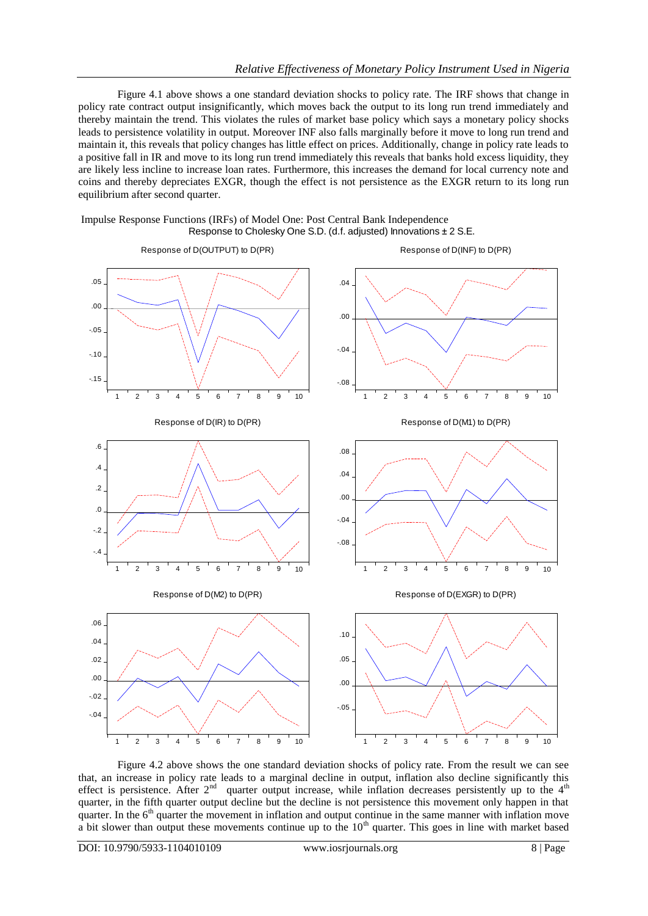Figure 4.1 above shows a one standard deviation shocks to policy rate. The IRF shows that change in policy rate contract output insignificantly, which moves back the output to its long run trend immediately and thereby maintain the trend. This violates the rules of market base policy which says a monetary policy shocks leads to persistence volatility in output. Moreover INF also falls marginally before it move to long run trend and maintain it, this reveals that policy changes has little effect on prices. Additionally, change in policy rate leads to a positive fall in IR and move to its long run trend immediately this reveals that banks hold excess liquidity, they are likely less incline to increase loan rates. Furthermore, this increases the demand for local currency note and coins and thereby depreciates EXGR, though the effect is not persistence as the EXGR return to its long run equilibrium after second quarter.





Figure 4.2 above shows the one standard deviation shocks of policy rate. From the result we can see that, an increase in policy rate leads to a marginal decline in output, inflation also decline significantly this effect is persistence. After  $2<sup>nd</sup>$  quarter output increase, while inflation decreases persistently up to the  $4<sup>th</sup>$ quarter, in the fifth quarter output decline but the decline is not persistence this movement only happen in that quarter. In the 6<sup>th</sup> quarter the movement in inflation and output continue in the same manner with inflation move a bit slower than output these movements continue up to the  $10<sup>th</sup>$  quarter. This goes in line with market based